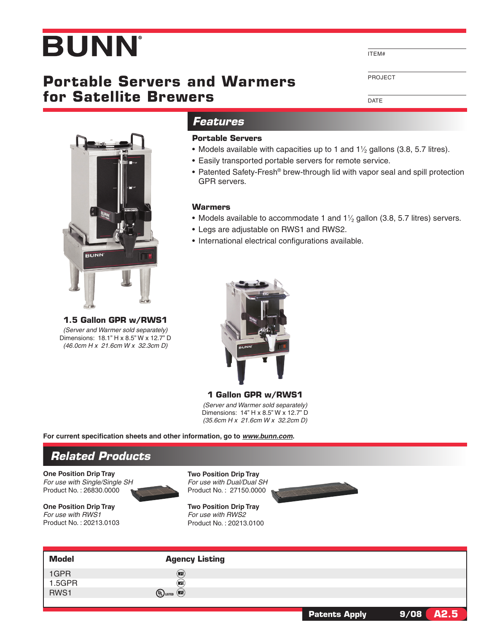# **BUNN**

## **Portable Servers and Warmers for Satellite Brewers**

ITEM#

Project

DATE



**1.5 Gallon GPR w/RWS1** *(Server and Warmer sold separately)* Dimensions: 18.1" H x 8.5" W x 12.7" D *(46.0cm H x 21.6cm W x 32.3cm D)*

### *Features*

#### **Portable Servers**

- Models available with capacities up to 1 and  $1\frac{1}{2}$  gallons (3.8, 5.7 litres).
- • Easily transported portable servers for remote service.
- Patented Safety-Fresh® brew-through lid with vapor seal and spill protection GPR servers.

#### **Warmers**

- Models available to accommodate 1 and  $1\frac{1}{2}$  gallon (3.8, 5.7 litres) servers.
- Legs are adjustable on RWS1 and RWS2.
- International electrical configurations available.



**1 Gallon GPR w/RWS1** *(Server and Warmer sold separately)* Dimensions: 14" H x 8.5" W x 12.7" D *(35.6cm H x 21.6cm W x 32.2cm D)*

**For current specification sheets and other information, go to** *www.bunn.com***.**

## *Related Products*

**One Position Drip Tray** *For use with Single/Single SH* Product No. : 26830.0000

**One Position Drip Tray** *For use with RWS1* Product No. : 20213.0103





**Two Position Drip Tray** *For use with RWS2* Product No. : 20213.0100